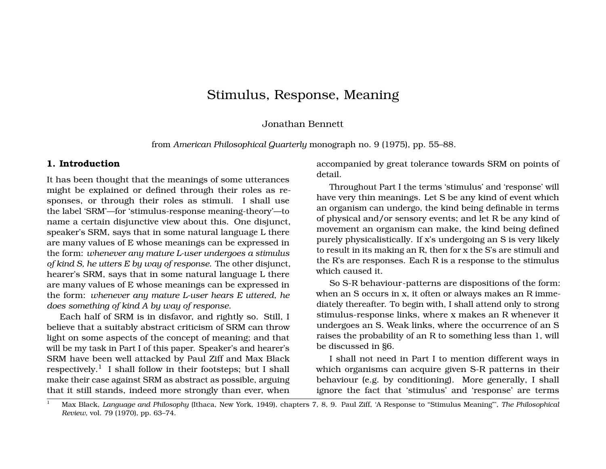# Stimulus, Response, Meaning

#### Jonathan Bennett

from *American Philosophical Quarterly* monograph no. 9 (1975), pp. 55–88.

### **1. Introduction**

It has been thought that the meanings of some utterances might be explained or defined through their roles as responses, or through their roles as stimuli. I shall use the label 'SRM'—for 'stimulus-response meaning-theory'—to name a certain disjunctive view about this. One disjunct, speaker's SRM, says that in some natural language L there are many values of E whose meanings can be expressed in the form: *whenever any mature L-user undergoes a stimulus of kind S, he utters E by way of response*. The other disjunct, hearer's SRM, says that in some natural language L there are many values of E whose meanings can be expressed in the form: *whenever any mature L-user hears E uttered, he does something of kind A by way of response*.

Each half of SRM is in disfavor, and rightly so. Still, I believe that a suitably abstract criticism of SRM can throw light on some aspects of the concept of meaning; and that will be my task in Part I of this paper. Speaker's and hearer's SRM have been well attacked by Paul Ziff and Max Black respectively.<sup>1</sup> I shall follow in their footsteps; but I shall make their case against SRM as abstract as possible, arguing that it still stands, indeed more strongly than ever, when accompanied by great tolerance towards SRM on points of detail.

Throughout Part I the terms 'stimulus' and 'response' will have very thin meanings. Let S be any kind of event which an organism can undergo, the kind being definable in terms of physical and/or sensory events; and let R be any kind of movement an organism can make, the kind being defined purely physicalistically. If x's undergoing an S is very likely to result in its making an R, then for x the S's are stimuli and the R's are responses. Each R is a response to the stimulus which caused it.

So S-R behaviour-patterns are dispositions of the form: when an S occurs in x, it often or always makes an R immediately thereafter. To begin with, I shall attend only to strong stimulus-response links, where x makes an R whenever it undergoes an S. Weak links, where the occurrence of an S raises the probability of an R to something less than 1, will be discussed in §6.

I shall not need in Part I to mention different ways in which organisms can acquire given S-R patterns in their behaviour (e.g. by conditioning). More generally, I shall ignore the fact that 'stimulus' and 'response' are terms

<sup>1</sup> Max Black, *Language and Philosophy* (Ithaca, New York, 1949), chapters 7, 8, 9. Paul Ziff, 'A Response to "Stimulus Meaning"', *The Philosophical Review*, vol. 79 (1970), pp. 63–74.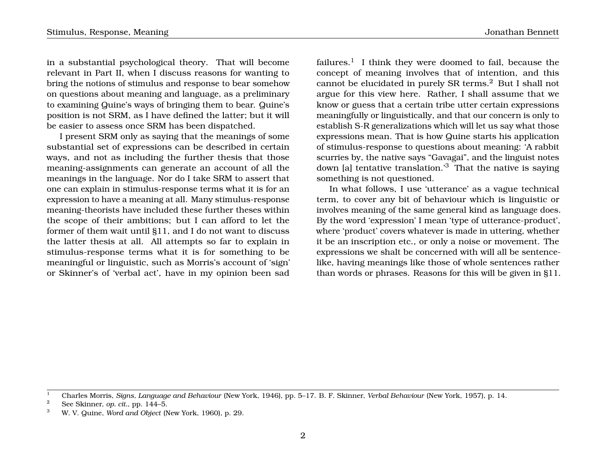in a substantial psychological theory. That will become relevant in Part II, when I discuss reasons for wanting to bring the notions of stimulus and response to bear somehow on questions about meaning and language, as a preliminary to examining Quine's ways of bringing them to bear. Quine's position is not SRM, as I have defined the latter; but it will be easier to assess once SRM has been dispatched.

I present SRM only as saying that the meanings of some substantial set of expressions can be described in certain ways, and not as including the further thesis that those meaning-assignments can generate an account of all the meanings in the language. Nor do I take SRM to assert that one can explain in stimulus-response terms what it is for an expression to have a meaning at all. Many stimulus-response meaning-theorists have included these further theses within the scope of their ambitions; but I can afford to let the former of them wait until §11, and I do not want to discuss the latter thesis at all. All attempts so far to explain in stimulus-response terms what it is for something to be meaningful or linguistic, such as Morris's account of 'sign' or Skinner's of 'verbal act', have in my opinion been sad

failures. $^{\rm l}$  I think they were doomed to fail, because the concept of meaning involves that of intention, and this cannot be elucidated in purely SR terms.<sup>2</sup> But I shall not argue for this view here. Rather, I shall assume that we know or guess that a certain tribe utter certain expressions meaningfully or linguistically, and that our concern is only to establish S-R generalizations which will let us say what those expressions mean. That is how Quine starts his application of stimulus-response to questions about meaning: 'A rabbit scurries by, the native says "Gavagai", and the linguist notes down [a] tentative translation.<sup>3</sup> That the native is saying something is not questioned.

In what follows, I use 'utterance' as a vague technical term, to cover any bit of behaviour which is linguistic or involves meaning of the same general kind as language does. By the word 'expression' I mean 'type of utterance-product', where 'product' covers whatever is made in uttering, whether it be an inscription etc., or only a noise or movement. The expressions we shalt be concerned with will all be sentencelike, having meanings like those of whole sentences rather than words or phrases. Reasons for this will be given in §11.

<sup>1</sup> Charles Morris, *Signs, Language and Behaviour* (New York, 1946), pp. 5–17. B. F. Skinner, *Verbal Behaviour* (New York, 1957), p. 14.

<sup>&</sup>lt;sup>2</sup> See Skinner, *op. cit.*, pp. 144–5.<br><sup>3</sup> W. V. Quite, Ward and Okiazt (N

<sup>3</sup> W. V. Quine, *Word and Object* (New York, 1960), p. 29.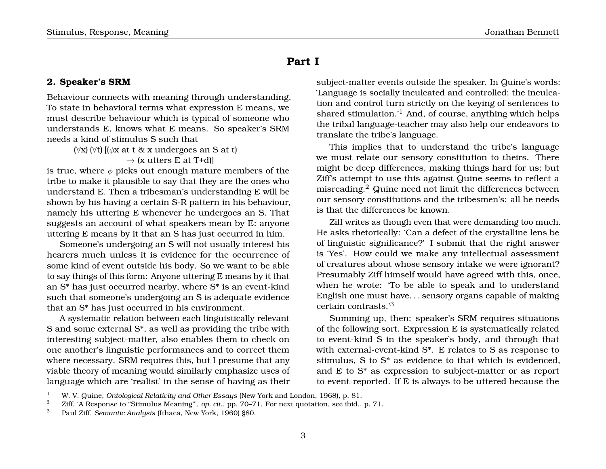## **Part I**

## **2. Speaker's SRM**

Behaviour connects with meaning through understanding. To state in behavioral terms what expression E means, we must describe behaviour which is typical of someone who understands E, knows what E means. So speaker's SRM needs a kind of stimulus S such that

> $(\forall x)(\forall t)[(\phi x \text{ at } t \& x \text{ undergoes an } S \text{ at } t)]$  $\rightarrow$  (x utters E at T+d)]

is true, where  $\phi$  picks out enough mature members of the tribe to make it plausible to say that they are the ones who understand E. Then a tribesman's understanding E will be shown by his having a certain S-R pattern in his behaviour, namely his uttering E whenever he undergoes an S. That suggests an account of what speakers mean by E: anyone uttering E means by it that an S has just occurred in him.

Someone's undergoing an S will not usually interest his hearers much unless it is evidence for the occurrence of some kind of event outside his body. So we want to be able to say things of this form: Anyone uttering E means by it that an S\* has just occurred nearby, where S\* is an event-kind such that someone's undergoing an S is adequate evidence that an S\* has just occurred in his environment.

A systematic relation between each linguistically relevant S and some external S\*, as well as providing the tribe with interesting subject-matter, also enables them to check on one another's linguistic performances and to correct them where necessary. SRM requires this, but I presume that any viable theory of meaning would similarly emphasize uses of language which are 'realist' in the sense of having as their

subject-matter events outside the speaker. In Quine's words: 'Language is socially inculcated and controlled; the inculcation and control turn strictly on the keying of sentences to shared stimulation.<sup>'1</sup> And, of course, anything which helps the tribal language-teacher may also help our endeavors to translate the tribe's language.

This implies that to understand the tribe's language we must relate our sensory constitution to theirs. There might be deep differences, making things hard for us; but Ziff's attempt to use this against Quine seems to reflect a misreading.<sup>2</sup> Quine need not limit the differences between our sensory constitutions and the tribesmen's: all he needs is that the differences be known.

Ziff writes as though even that were demanding too much. He asks rhetorically: 'Can a defect of the crystalline lens be of linguistic significance?' I submit that the right answer is 'Yes'. How could we make any intellectual assessment of creatures about whose sensory intake we were ignorant? Presumably Ziff himself would have agreed with this, once, when he wrote: 'To be able to speak and to understand English one must have. . . sensory organs capable of making certain contrasts.'<sup>3</sup>

Summing up, then: speaker's SRM requires situations of the following sort. Expression E is systematically related to event-kind S in the speaker's body, and through that with external-event-kind S\*. E relates to S as response to stimulus, S to S\* as evidence to that which is evidenced, and E to S\* as expression to subject-matter or as report to event-reported. If E is always to be uttered because the

<sup>1</sup> W. V. Quine, *Ontological Relativity and Other Essays* (New York and London, 1968), p. 81.

<sup>&</sup>lt;sup>2</sup> Ziff, 'A Response to "Stimulus Meaning"', *op. cit.*, pp. 70–71. For next quotation, see ibid., p. 71.

<sup>3</sup> Paul Ziff, *Semantic Analysis* (Ithaca, New York, 1960) §80.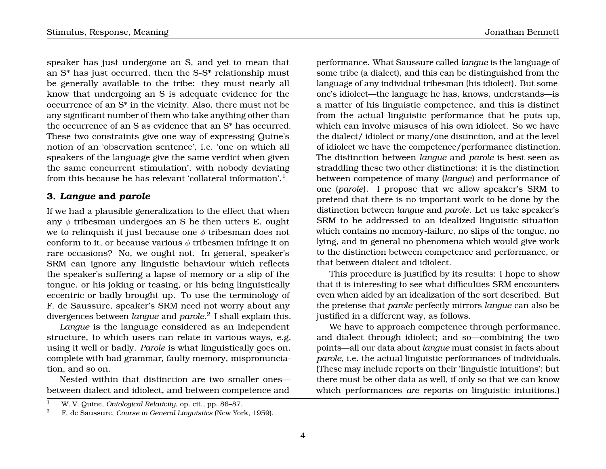speaker has just undergone an S, and yet to mean that an S\* has just occurred, then the S-S\* relationship must be generally available to the tribe: they must nearly all know that undergoing an S is adequate evidence for the occurrence of an S\* in the vicinity. Also, there must not be any significant number of them who take anything other than the occurrence of an S as evidence that an S\* has occurred. These two constraints give one way of expressing Quine's notion of an 'observation sentence', i.e. 'one on which all speakers of the language give the same verdict when given the same concurrent stimulation', with nobody deviating from this because he has relevant 'collateral information'.<sup>1</sup>

## **3.** *Langue* **and** *parole*

If we had a plausible generalization to the effect that when any  $\phi$  tribesman undergoes an S he then utters E, ought we to relinquish it just because one  $\phi$  tribesman does not conform to it, or because various  $\phi$  tribesmen infringe it on rare occasions? No, we ought not. In general, speaker's SRM can ignore any linguistic behaviour which reflects the speaker's suffering a lapse of memory or a slip of the tongue, or his joking or teasing, or his being linguistically eccentric or badly brought up. To use the terminology of F. de Saussure, speaker's SRM need not worry about any divergences between *langue* and *parole*. 2 I shall explain this.

*Langue* is the language considered as an independent structure, to which users can relate in various ways, e.g. using it well or badly. *Parole* is what linguistically goes on, complete with bad grammar, faulty memory, mispronunciation, and so on.

Nested within that distinction are two smaller ones between dialect and idiolect, and between competence and

a matter of his linguistic competence, and this is distinct from the actual linguistic performance that he puts up, which can involve misuses of his own idiolect. So we have the dialect/ idiolect or many/one distinction, and at the level of idiolect we have the competence/performance distinction. The distinction between *langue* and *parole* is best seen as straddling these two other distinctions: it is the distinction between competence of many (*langue*) and performance of one (*parole*). I propose that we allow speaker's SRM to pretend that there is no important work to be done by the distinction between *langue* and *parole*. Let us take speaker's SRM to be addressed to an idealized linguistic situation which contains no memory-failure, no slips of the tongue, no lying, and in general no phenomena which would give work to the distinction between competence and performance, or that between dialect and idiolect.

This procedure is justified by its results: I hope to show that it is interesting to see what difficulties SRM encounters even when aided by an idealization of the sort described. But the pretense that *parole* perfectly mirrors *langue* can also be justified in a different way, as follows.

We have to approach competence through performance, and dialect through idiolect; and so—combining the two points—all our data about *langue* must consist in facts about *parole*, i.e. the actual linguistic performances of individuals. (These may include reports on their 'linguistic intuitions'; but there must be other data as well, if only so that we can know which performances *are* reports on linguistic intuitions.)

performance. What Saussure called *langue* is the language of some tribe (a dialect), and this can be distinguished from the language of any individual tribesman (his idiolect). But someone's idiolect—the language he has, knows, understands—is

<sup>1</sup> W. V. Quine, *Ontological Relativity*, op. cit., pp. 86–87.

<sup>2</sup> F. de Saussure, *Course in General Linguistics* (New York, 1959).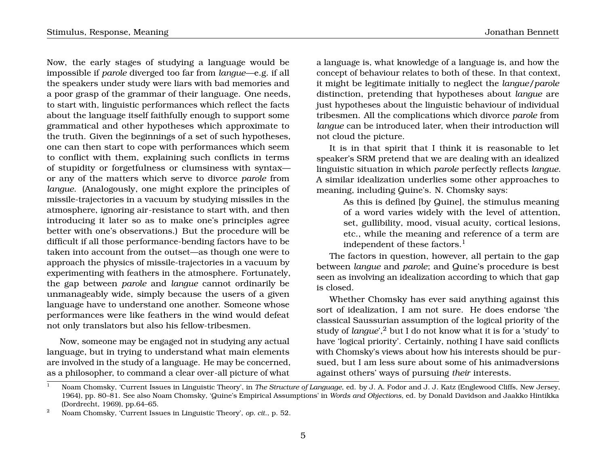Now, the early stages of studying a language would be impossible if *parole* diverged too far from *langue*—e.g. if all the speakers under study were liars with bad memories and a poor grasp of the grammar of their language. One needs, to start with, linguistic performances which reflect the facts about the language itself faithfully enough to support some grammatical and other hypotheses which approximate to the truth. Given the beginnings of a set of such hypotheses, one can then start to cope with performances which seem to conflict with them, explaining such conflicts in terms of stupidity or forgetfulness or clumsiness with syntax or any of the matters which serve to divorce *parole* from *langue*. (Analogously, one might explore the principles of missile-trajectories in a vacuum by studying missiles in the atmosphere, ignoring air-resistance to start with, and then introducing it later so as to make one's principles agree better with one's observations.) But the procedure will be difficult if all those performance-bending factors have to be taken into account from the outset—as though one were to approach the physics of missile-trajectories in a vacuum by experimenting with feathers in the atmosphere. Fortunately, the gap between *parole* and *langue* cannot ordinarily be unmanageably wide, simply because the users of a given language have to understand one another. Someone whose performances were like feathers in the wind would defeat not only translators but also his fellow-tribesmen.

Now, someone may be engaged not in studying any actual language, but in trying to understand what main elements are involved in the study of a language. He may be concerned, as a philosopher, to command a clear over-all picture of what

a language is, what knowledge of a language is, and how the concept of behaviour relates to both of these. In that context, it might be legitimate initially to neglect the *langue*/*parole* distinction, pretending that hypotheses about *langue* are

just hypotheses about the linguistic behaviour of individual tribesmen. All the complications which divorce *parole* from *langue* can be introduced later, when their introduction will not cloud the picture.

It is in that spirit that I think it is reasonable to let speaker's SRM pretend that we are dealing with an idealized linguistic situation in which *parole* perfectly reflects *langue*. A similar idealization underlies some other approaches to meaning, including Quine's. N. Chomsky says:

> As this is defined [by Quine], the stimulus meaning of a word varies widely with the level of attention, set, gullibility, mood, visual acuity, cortical lesions, etc., while the meaning and reference of a term are independent of these factors. $<sup>1</sup>$ </sup>

The factors in question, however, all pertain to the gap between *langue* and *parole*; and Quine's procedure is best seen as involving an idealization according to which that gap is closed.

Whether Chomsky has ever said anything against this sort of idealization, I am not sure. He does endorse 'the classical Saussurian assumption of the logical priority of the study of *langue*<sup>'</sup>,<sup>2</sup> but I do not know what it is for a 'study' to have 'logical priority'. Certainly, nothing I have said conflicts with Chomsky's views about how his interests should be pursued, but I am less sure about some of his animadversions against others' ways of pursuing *their* interests.

<sup>1</sup> Noam Chomsky, 'Current Issues in Linguistic Theory', in *The Structure of Language*, ed. by J. A. Fodor and J. J. Katz (Englewood Cliffs, New Jersey, 1964), pp. 80–81. See also Noam Chomsky, 'Quine's Empirical Assumptions' in *Words and Objections*, ed. by Donald Davidson and Jaakko Hintikka (Dordrecht, 1969), pp.64–65.

<sup>2</sup> Noam Chomsky, 'Current Issues in Linguistic Theory', *op. cit*., p. 52.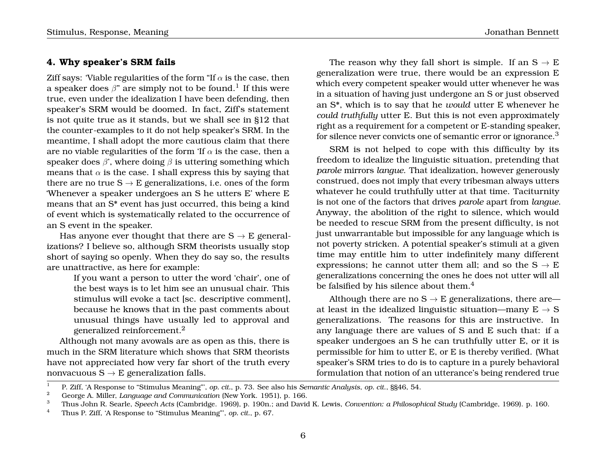### **4. Why speaker's SRM fails**

Ziff says: 'Viable regularities of the form "If  $\alpha$  is the case, then a speaker does  $\beta$ " are simply not to be found. $^1$  If this were true, even under the idealization I have been defending, then speaker's SRM would be doomed. In fact, Ziff's statement is not quite true as it stands, but we shall see in §12 that the counter-examples to it do not help speaker's SRM. In the meantime, I shall adopt the more cautious claim that there are no viable regularities of the form 'If  $\alpha$  is the case, then a speaker does  $\beta$ ', where doing  $\beta$  is uttering something which means that  $\alpha$  is the case. I shall express this by saying that there are no true  $S \rightarrow E$  generalizations, i.e. ones of the form 'Whenever a speaker undergoes an S he utters E' where E means that an S\* event has just occurred, this being a kind of event which is systematically related to the occurrence of an S event in the speaker.

Has anyone ever thought that there are  $S \rightarrow E$  generalizations? I believe so, although SRM theorists usually stop short of saying so openly. When they do say so, the results are unattractive, as here for example:

> If you want a person to utter the word 'chair', one of the best ways is to let him see an unusual chair. This stimulus will evoke a tact [sc. descriptive comment], because he knows that in the past comments about unusual things have usually led to approval and generalized reinforcement.<sup>2</sup>

Although not many avowals are as open as this, there is much in the SRM literature which shows that SRM theorists have not appreciated how very far short of the truth every nonvacuous  $S \rightarrow E$  generalization falls.

The reason why they fall short is simple. If an  $S \rightarrow E$ generalization were true, there would be an expression E which every competent speaker would utter whenever he was in a situation of having just undergone an S or just observed an S\*, which is to say that he *would* utter E whenever he *could truthfully* utter E. But this is not even approximately right as a requirement for a competent or E-standing speaker, for silence never convicts one of semantic error or ignorance.<sup>3</sup>

SRM is not helped to cope with this difficulty by its freedom to idealize the linguistic situation, pretending that *parole* mirrors *langue*. That idealization, however generously construed, does not imply that every tribesman always utters whatever he could truthfully utter at that time. Taciturnity is not one of the factors that drives *parole* apart from *langue*. Anyway, the abolition of the right to silence, which would be needed to rescue SRM from the present difficulty, is not just unwarrantable but impossible for any language which is not poverty stricken. A potential speaker's stimuli at a given time may entitle him to utter indefinitely many different expressions; he cannot utter them all; and so the  $S \rightarrow E$ generalizations concerning the ones he does not utter will all be falsified by his silence about them.<sup>4</sup>

Although there are no  $S \rightarrow E$  generalizations, there are at least in the idealized linguistic situation—many  $E \rightarrow S$ generalizations. The reasons for this are instructive. In any language there are values of S and E such that: if a speaker undergoes an S he can truthfully utter E, or it is permissible for him to utter E, or E is thereby verified. (What speaker's SRM tries to do is to capture in a purely behavioral formulation that notion of an utterance's being rendered true

<sup>1</sup> P. Ziff, 'A Response to "Stimulus Meaning"', *op. cit.*, p. 73. See also his *Semantic Analysis*, *op. cit*., §§46, 54.

<sup>2</sup> George A. Miller, *Language and Communication* (New York. 1951), p. 166.

<sup>3</sup> Thus John R. Searle, *Speech Acts* (Cambridge. 1969), p. 190n.; and David K. Lewis, *Convention: a Philosophical Study* (Cambridge, 1969). p. 160.

<sup>4</sup> Thus P. Ziff, 'A Response to "Stimulus Meaning"', *op. cit.*, p. 67.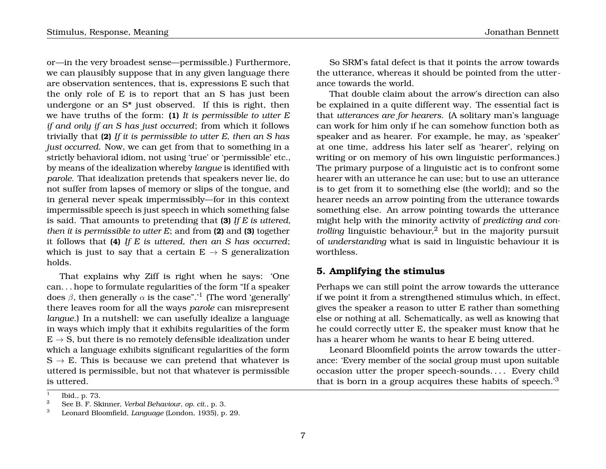or—in the very broadest sense—permissible.) Furthermore, we can plausibly suppose that in any given language there are observation sentences, that is, expressions E such that the only role of E is to report that an S has just been undergone or an S\* just observed. If this is right, then we have truths of the form: **(1)** *It is permissible to utter E if and only if an S has just occurred*; from which it follows trivially that **(2)** *If it is permissible to utter E, then an S has just occurred*. Now, we can get from that to something in a strictly behavioral idiom, not using 'true' or 'permissible' etc., by means of the idealization whereby *langue* is identified with *parole*. That idealization pretends that speakers never lie, do not suffer from lapses of memory or slips of the tongue, and in general never speak impermissibly—for in this context impermissible speech is just speech in which something false is said. That amounts to pretending that **(3)** *If E is uttered, then it is permissible to utter E*; and from **(2)** and **(3)** together it follows that **(4)** *If E is uttered, then an S has occurred*; which is just to say that a certain  $E \rightarrow S$  generalization holds.

That explains why Ziff is right when he says: 'One can. . . hope to formulate regularities of the form "If a speaker does  $\beta$ , then generally  $\alpha$  is the case".' $^1$  (The word 'generally' there leaves room for all the ways *parole* can misrepresent *langue*.) In a nutshell: we can usefully idealize a language in ways which imply that it exhibits regularities of the form  $E \rightarrow S$ , but there is no remotely defensible idealization under which a language exhibits significant regularities of the form  $S \rightarrow E$ . This is because we can pretend that whatever is uttered is permissible, but not that whatever is permissible is uttered.

So SRM's fatal defect is that it points the arrow towards the utterance, whereas it should be pointed from the utterance towards the world.

That double claim about the arrow's direction can also be explained in a quite different way. The essential fact is that *utterances are for hearers*. (A solitary man's language can work for him only if he can somehow function both as speaker and as hearer. For example, he may, as 'speaker' at one time, address his later self as 'hearer', relying on writing or on memory of his own linguistic performances.) The primary purpose of a linguistic act is to confront some hearer with an utterance he can use; but to use an utterance is to get from it to something else (the world); and so the hearer needs an arrow pointing from the utterance towards something else. An arrow pointing towards the utterance might help with the minority activity of *predicting and controlling* linguistic behaviour,<sup>2</sup> but in the majority pursuit of *understanding* what is said in linguistic behaviour it is worthless.

## **5. Amplifying the stimulus**

Perhaps we can still point the arrow towards the utterance if we point it from a strengthened stimulus which, in effect, gives the speaker a reason to utter E rather than something else or nothing at all. Schematically, as well as knowing that he could correctly utter E, the speaker must know that he has a hearer whom he wants to hear E being uttered.

Leonard Bloomfield points the arrow towards the utterance: 'Every member of the social group must upon suitable occasion utter the proper speech-sounds.... Every child that is born in a group acquires these habits of speech.'<sup>3</sup>

<sup>1</sup> Ibid., p. 73.

<sup>2</sup> See B. F. Skinner, *Verbal Behaviour*, *op. cit*., p. 3.

<sup>3</sup> Leonard Bloomfield, *Language* (London, 1935), p. 29.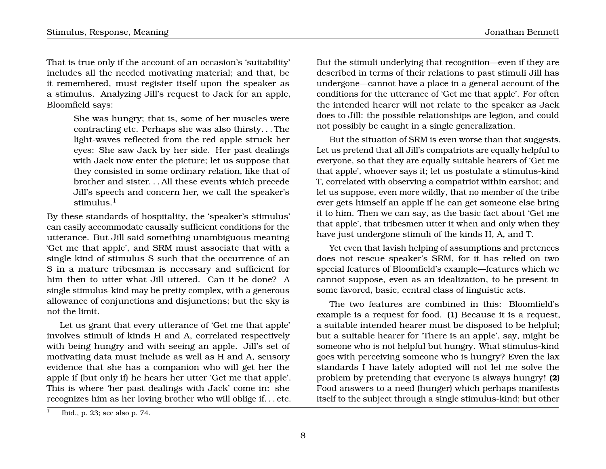That is true only if the account of an occasion's 'suitability' includes all the needed motivating material; and that, be it remembered, must register itself upon the speaker as a stimulus. Analyzing Jill's request to Jack for an apple, Bloomfield says:

> She was hungry; that is, some of her muscles were contracting etc. Perhaps she was also thirsty. . . The light-waves reflected from the red apple struck her eyes: She saw Jack by her side. Her past dealings with Jack now enter the picture; let us suppose that they consisted in some ordinary relation, like that of brother and sister. . . All these events which precede Jill's speech and concern her, we call the speaker's stimulus. $<sup>1</sup>$ </sup>

By these standards of hospitality, the 'speaker's stimulus' can easily accommodate causally sufficient conditions for the utterance. But Jill said something unambiguous meaning 'Get me that apple', and SRM must associate that with a single kind of stimulus S such that the occurrence of an S in a mature tribesman is necessary and sufficient for him then to utter what Jill uttered. Can it be done? A single stimulus-kind may be pretty complex, with a generous allowance of conjunctions and disjunctions; but the sky is not the limit.

Let us grant that every utterance of 'Get me that apple' involves stimuli of kinds H and A, correlated respectively with being hungry and with seeing an apple. Jill's set of motivating data must include as well as H and A, sensory evidence that she has a companion who will get her the apple if (but only if) he hears her utter 'Get me that apple'. This is where 'her past dealings with Jack' come in: she recognizes him as her loving brother who will oblige if. . . etc. But the stimuli underlying that recognition—even if they are described in terms of their relations to past stimuli Jill has undergone—cannot have a place in a general account of the conditions for the utterance of 'Get me that apple'. For often the intended hearer will not relate to the speaker as Jack does to Jill: the possible relationships are legion, and could not possibly be caught in a single generalization.

But the situation of SRM is even worse than that suggests. Let us pretend that all Jill's compatriots are equally helpful to everyone, so that they are equally suitable hearers of 'Get me that apple', whoever says it; let us postulate a stimulus-kind T, correlated with observing a compatriot within earshot; and let us suppose, even more wildly, that no member of the tribe ever gets himself an apple if he can get someone else bring it to him. Then we can say, as the basic fact about 'Get me that apple', that tribesmen utter it when and only when they have just undergone stimuli of the kinds H, A, and T.

Yet even that lavish helping of assumptions and pretences does not rescue speaker's SRM, for it has relied on two special features of Bloomfield's example—features which we cannot suppose, even as an idealization, to be present in some favored, basic, central class of linguistic acts.

The two features are combined in this: Bloomfield's example is a request for food. **(1)** Because it is a request, a suitable intended hearer must be disposed to be helpful; but a suitable hearer for 'There is an apple', say, might be someone who is not helpful but hungry. What stimulus-kind goes with perceiving someone who is hungry? Even the lax standards I have lately adopted will not let me solve the problem by pretending that everyone is always hungry! **(2)** Food answers to a need (hunger) which perhaps manifests itself to the subject through a single stimulus-kind; but other

<sup>1</sup> Ibid., p. 23; see also p. 74.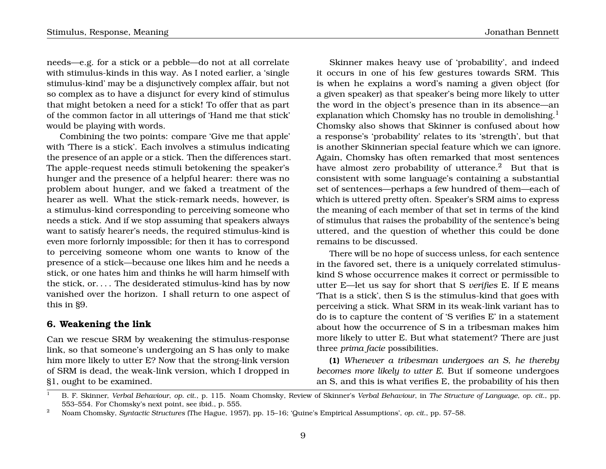needs—e.g. for a stick or a pebble—do not at all correlate with stimulus-kinds in this way. As I noted earlier, a 'single stimulus-kind' may be a disjunctively complex affair, but not so complex as to have a disjunct for every kind of stimulus that might betoken a need for a stick! To offer that as part of the common factor in all utterings of 'Hand me that stick' would be playing with words.

Combining the two points: compare 'Give me that apple' with 'There is a stick'. Each involves a stimulus indicating the presence of an apple or a stick. Then the differences start. The apple-request needs stimuli betokening the speaker's hunger and the presence of a helpful hearer: there was no problem about hunger, and we faked a treatment of the hearer as well. What the stick-remark needs, however, is a stimulus-kind corresponding to perceiving someone who needs a stick. And if we stop assuming that speakers always want to satisfy hearer's needs, the required stimulus-kind is even more forlornly impossible; for then it has to correspond to perceiving someone whom one wants to know of the presence of a stick—because one likes him and he needs a stick, or one hates him and thinks he will harm himself with the stick, or. . . . The desiderated stimulus-kind has by now vanished over the horizon. I shall return to one aspect of this in §9.

### **6. Weakening the link**

Can we rescue SRM by weakening the stimulus-response link, so that someone's undergoing an S has only to make him more likely to utter E? Now that the strong-link version of SRM is dead, the weak-link version, which I dropped in §1, ought to be examined.

Skinner makes heavy use of 'probability', and indeed it occurs in one of his few gestures towards SRM. This is when he explains a word's naming a given object (for a given speaker) as that speaker's being more likely to utter the word in the object's presence than in its absence—an explanation which Chomsky has no trouble in demolishing.<sup>1</sup> Chomsky also shows that Skinner is confused about how a response's 'probability' relates to its 'strength', but that is another Skinnerian special feature which we can ignore. Again, Chomsky has often remarked that most sentences have almost zero probability of utterance.<sup>2</sup> But that is consistent with some language's containing a substantial set of sentences—perhaps a few hundred of them—each of which is uttered pretty often. Speaker's SRM aims to express the meaning of each member of that set in terms of the kind of stimulus that raises the probability of the sentence's being uttered, and the question of whether this could be done remains to be discussed.

There will be no hope of success unless, for each sentence in the favored set, there is a uniquely correlated stimuluskind S whose occurrence makes it correct or permissible to utter E—let us say for short that S *verifies* E. If E means 'That is a stick', then S is the stimulus-kind that goes with perceiving a stick. What SRM in its weak-link variant has to do is to capture the content of 'S verifies E' in a statement about how the occurrence of S in a tribesman makes him more likely to utter E. But what statement? There are just three *prima facie* possibilities.

**(1)** *Whenever a tribesman undergoes an S, he thereby becomes more likely to utter E*. But if someone undergoes an S, and this is what verifies E, the probability of his then

<sup>1</sup> B. F. Skinner, *Verbal Behaviour*, *op. cit*., p. 115. Noam Chomsky, Review of Skinner's *Verbal Behaviour*, in *The Structure of Language*, *op. cit*., pp. 553–554. For Chomsky's next point, see ibid., p. 555.

<sup>2</sup> Noam Chomsky, *Syntactic Structures* (The Hague, 1957), pp. 15–16; 'Quine's Empirical Assumptions', *op. cit*., pp. 57–58.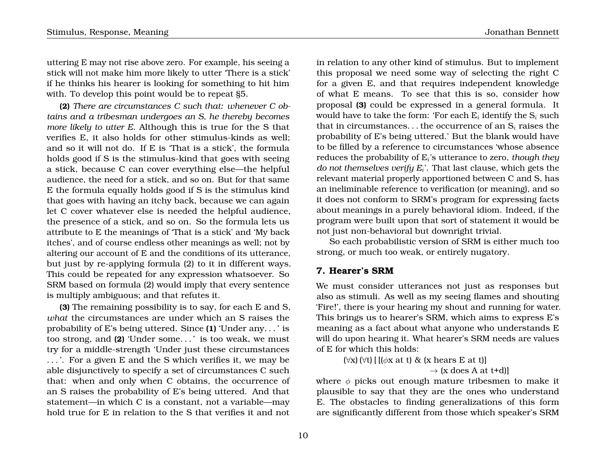uttering E may not rise above zero. For example, his seeing a stick will not make him more likely to utter 'There is a stick' if he thinks his hearer is looking for something to hit him with. To develop this point would be to repeat §5.

**(2)** *There are circumstances C such that: whenever C obtains and a tribesman undergoes an S, he thereby becomes more likely to utter E*. Although this is true for the S that verifies E, it also holds for other stimulus-kinds as well; and so it will not do. If E is 'That is a stick', the formula holds good if S is the stimulus-kind that goes with seeing a stick, because C can cover everything else—the helpful audience, the need for a stick, and so on. But for that same E the formula equally holds good if S is the stimulus kind that goes with having an itchy back, because we can again let C cover whatever else is needed the helpful audience, the presence of a stick, and so on. So the formula lets us attribute to E the meanings of 'That is a stick' and 'My back itches', and of course endless other meanings as well; not by altering our account of E and the conditions of its utterance, but just by re-applying formula (2) to it in different ways. This could be repeated for any expression whatsoever. So SRM based on formula (2) would imply that every sentence is multiply ambiguous; and that refutes it.

**(3)** The remaining possibility is to say, for each E and S, *what* the circumstances are under which an S raises the probability of E's being uttered. Since **(1)** 'Under any. . . ' is too strong, and **(2)** 'Under some. . . ' is too weak, we must try for a middle-strength 'Under just these circumstances . . . '. For a given E and the S which verifies it, we may be able disjunctively to specify a set of circumstances C such that: when and only when C obtains, the occurrence of an S raises the probability of E's being uttered. And that statement—in which C is a constant, not a variable—may hold true for E in relation to the S that verifies it and not

in relation to any other kind of stimulus. But to implement this proposal we need some way of selecting the right C for a given E, and that requires independent knowledge of what E means. To see that this is so, consider how proposal **(3)** could be expressed in a general formula. It would have to take the form: 'For each  $E_i$  identify the  $S_i$  such that in circumstances... the occurrence of an  $S_i$  raises the probability of E's being uttered.' But the blank would have to be filled by a reference to circumstances 'whose absence reduces the probability of E<sup>i</sup> 's utterance to zero, *though they do not themselves verify E*<sup>i</sup> '. That last clause, which gets the relevant material properly apportioned between C and S, has an ineliminable reference to verification (or meaning), and so it does not conform to SRM's program for expressing facts about meanings in a purely behavioral idiom. Indeed, if the program were built upon that sort of statement it would be not just non-behavioral but downright trivial.

So each probabilistic version of SRM is either much too strong, or much too weak, or entirely nugatory.

## **7. Hearer's SRM**

We must consider utterances not just as responses but also as stimuli. As well as my seeing flames and shouting 'Fire!', there is your hearing my shout and running for water. This brings us to hearer's SRM, which aims to express E's meaning as a fact about what anyone who understands E will do upon hearing it. What hearer's SRM needs are values of E for which this holds:

> $(\forall x) (\forall t) [ [(\phi x \text{ at } t) \& (x \text{ hears } E \text{ at } t)]$  $\rightarrow$  (x does A at t+d)

where  $\phi$  picks out enough mature tribesmen to make it plausible to say that they are the ones who understand E. The obstacles to finding generalizations of this form are significantly different from those which speaker's SRM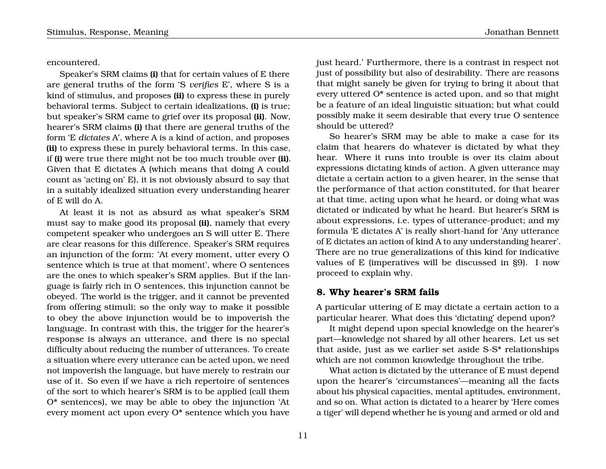encountered.

Speaker's SRM claims **(i)** that for certain values of E there are general truths of the form 'S *verifies* E', where S is a kind of stimulus, and proposes **(ii)** to express these in purely behavioral terms. Subject to certain idealizations, **(i)** is true; but speaker's SRM came to grief over its proposal **(ii)**. Now, hearer's SRM claims **(i)** that there are general truths of the form 'E *dictates* A', where A is a kind of action, and proposes **(ii)** to express these in purely behavioral terms. In this case, if **(i)** were true there might not be too much trouble over **(ii)**. Given that E dictates A (which means that doing A could count as 'acting on' E), it is not obviously absurd to say that in a suitably idealized situation every understanding hearer of E will do A.

At least it is not as absurd as what speaker's SRM must say to make good its proposal **(ii)**, namely that every competent speaker who undergoes an S will utter E. There are clear reasons for this difference. Speaker's SRM requires an injunction of the form: 'At every moment, utter every O sentence which is true at that moment', where O sentences are the ones to which speaker's SRM applies. But if the language is fairly rich in O sentences, this injunction cannot be obeyed. The world is the trigger, and it cannot be prevented from offering stimuli; so the only way to make it possible to obey the above injunction would be to impoverish the language. In contrast with this, the trigger for the hearer's response is always an utterance, and there is no special difficulty about reducing the number of utterances. To create a situation where every utterance can be acted upon, we need not impoverish the language, but have merely to restrain our use of it. So even if we have a rich repertoire of sentences of the sort to which hearer's SRM is to be applied (call them O\* sentences), we may be able to obey the injunction 'At every moment act upon every O\* sentence which you have

just heard.' Furthermore, there is a contrast in respect not just of possibility but also of desirability. There are reasons that might sanely be given for trying to bring it about that every uttered O\* sentence is acted upon, and so that might be a feature of an ideal linguistic situation; but what could possibly make it seem desirable that every true O sentence should be uttered?

So hearer's SRM may be able to make a case for its claim that hearers do whatever is dictated by what they hear. Where it runs into trouble is over its claim about expressions dictating kinds of action. A given utterance may dictate a certain action to a given hearer, in the sense that the performance of that action constituted, for that hearer at that time, acting upon what he heard, or doing what was dictated or indicated by what he heard. But hearer's SRM is about expressions, i.e. types of utterance-product; and my formula 'E dictates A' is really short-hand for 'Any utterance of E dictates an action of kind A to any understanding hearer'. There are no true generalizations of this kind for indicative values of E (imperatives will be discussed in §9). I now proceed to explain why.

## **8. Why hearer's SRM fails**

A particular uttering of E may dictate a certain action to a particular hearer. What does this 'dictating' depend upon?

It might depend upon special knowledge on the hearer's part—knowledge not shared by all other hearers. Let us set that aside, just as we earlier set aside S-S\* relationships which are not common knowledge throughout the tribe.

What action is dictated by the utterance of E must depend upon the hearer's 'circumstances'—meaning all the facts about his physical capacities, mental aptitudes, environment, and so on. What action is dictated to a hearer by 'Here comes a tiger' will depend whether he is young and armed or old and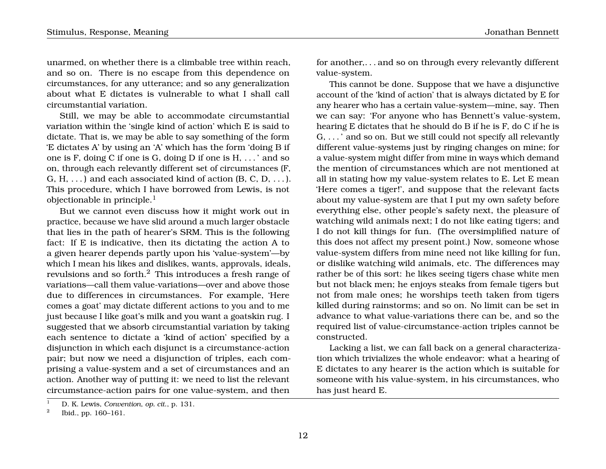unarmed, on whether there is a climbable tree within reach, and so on. There is no escape from this dependence on circumstances, for any utterance; and so any generalization about what E dictates is vulnerable to what I shall call circumstantial variation.

Still, we may be able to accommodate circumstantial variation within the 'single kind of action' which E is said to dictate. That is, we may be able to say something of the form 'E dictates A' by using an 'A' which has the form 'doing B if one is F, doing C if one is G, doing D if one is H, . . . ' and so on, through each relevantly different set of circumstances (F, G, H,  $\dots$ ) and each associated kind of action (B, C, D,  $\dots$ ). This procedure, which I have borrowed from Lewis, is not objectionable in principle. $<sup>1</sup>$ </sup>

But we cannot even discuss how it might work out in practice, because we have slid around a much larger obstacle that lies in the path of hearer's SRM. This is the following fact: If E is indicative, then its dictating the action A to a given hearer depends partly upon his 'value-system'—by which I mean his likes and dislikes, wants, approvals, ideals, revulsions and so forth.<sup>2</sup> This introduces a fresh range of variations—call them value-variations—over and above those due to differences in circumstances. For example, 'Here comes a goat' may dictate different actions to you and to me just because I like goat's milk and you want a goatskin rug. I suggested that we absorb circumstantial variation by taking each sentence to dictate a 'kind of action' specified by a disjunction in which each disjunct is a circumstance-action pair; but now we need a disjunction of triples, each comprising a value-system and a set of circumstances and an action. Another way of putting it: we need to list the relevant circumstance-action pairs for one value-system, and then

for another,. . . and so on through every relevantly different value-system.

This cannot be done. Suppose that we have a disjunctive account of the 'kind of action' that is always dictated by E for any hearer who has a certain value-system—mine, say. Then we can say: 'For anyone who has Bennett's value-system, hearing E dictates that he should do B if he is F, do C if he is G, . . . ' and so on. But we still could not specify all relevantly different value-systems just by ringing changes on mine; for a value-system might differ from mine in ways which demand the mention of circumstances which are not mentioned at all in stating how my value-system relates to E. Let E mean 'Here comes a tiger!', and suppose that the relevant facts about my value-system are that I put my own safety before everything else, other people's safety next, the pleasure of watching wild animals next; I do not like eating tigers; and I do not kill things for fun. (The oversimplified nature of this does not affect my present point.) Now, someone whose value-system differs from mine need not like killing for fun, or dislike watching wild animals, etc. The differences may rather be of this sort: he likes seeing tigers chase white men but not black men; he enjoys steaks from female tigers but not from male ones; he worships teeth taken from tigers killed during rainstorms; and so on. No limit can be set in advance to what value-variations there can be, and so the required list of value-circumstance-action triples cannot be constructed.

Lacking a list, we can fall back on a general characterization which trivializes the whole endeavor: what a hearing of E dictates to any hearer is the action which is suitable for someone with his value-system, in his circumstances, who has just heard E.

<sup>1</sup> D. K. Lewis, *Convention*, *op. cit*., p. 131.

<sup>2</sup> Ibid., pp. 160–161.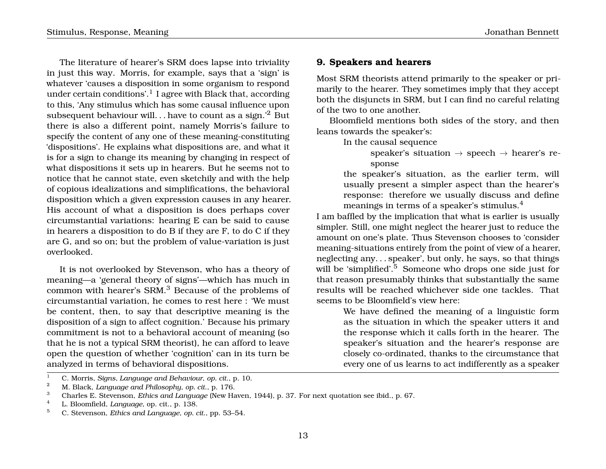The literature of hearer's SRM does lapse into triviality in just this way. Morris, for example, says that a 'sign' is whatever 'causes a disposition in some organism to respond under certain conditions'. $^{\rm l}$  I agree with Black that, according to this, 'Any stimulus which has some causal influence upon subsequent behaviour will. . . have to count as a sign.'<sup>2</sup> But there is also a different point, namely Morris's failure to specify the content of any one of these meaning-constituting 'dispositions'. He explains what dispositions are, and what it is for a sign to change its meaning by changing in respect of what dispositions it sets up in hearers. But he seems not to notice that he cannot state, even sketchily and with the help of copious idealizations and simplifications, the behavioral disposition which a given expression causes in any hearer. His account of what a disposition is does perhaps cover circumstantial variations: hearing E can be said to cause in hearers a disposition to do B if they are F, to do C if they are G, and so on; but the problem of value-variation is just overlooked.

It is not overlooked by Stevenson, who has a theory of meaning—a 'general theory of signs'—which has much in common with hearer's SRM.<sup>3</sup> Because of the problems of circumstantial variation, he comes to rest here : 'We must be content, then, to say that descriptive meaning is the disposition of a sign to affect cognition.' Because his primary commitment is not to a behavioral account of meaning (so that he is not a typical SRM theorist), he can afford to leave open the question of whether 'cognition' can in its turn be analyzed in terms of behavioral dispositions.

## **9. Speakers and hearers**

Most SRM theorists attend primarily to the speaker or primarily to the hearer. They sometimes imply that they accept both the disjuncts in SRM, but I can find no careful relating of the two to one another.

Bloomfield mentions both sides of the story, and then leans towards the speaker's:

In the causal sequence

speaker's situation  $\rightarrow$  speech  $\rightarrow$  hearer's response

the speaker's situation, as the earlier term, will usually present a simpler aspect than the hearer's response: therefore we usually discuss and define meanings in terms of a speaker's stimulus.<sup>4</sup>

I am baffled by the implication that what is earlier is usually simpler. Still, one might neglect the hearer just to reduce the amount on one's plate. Thus Stevenson chooses to 'consider meaning-situations entirely from the point of view of a hearer, neglecting any. . . speaker', but only, he says, so that things will be 'simplified'.<sup>5</sup> Someone who drops one side just for that reason presumably thinks that substantially the same results will be reached whichever side one tackles. That seems to be Bloomfield's view here:

> We have defined the meaning of a linguistic form as the situation in which the speaker utters it and the response which it calls forth in the hearer. The speaker's situation and the hearer's response are closely co-ordinated, thanks to the circumstance that every one of us learns to act indifferently as a speaker

<sup>1</sup> C. Morris, *Signs, Language and Behaviour*, *op. cit*., p. 10.

<sup>2</sup> M. Black, *Language and Philosophy*, *op. cit*., p. 176.

<sup>3</sup> Charles E. Stevenson, *Ethics and Language* (New Haven, 1944), p. 37. For next quotation see ibid., p. 67.

<sup>4</sup> L. Bloomfield, *Language*, op. cit., p. 138.

<sup>5</sup> C. Stevenson, *Ethics and Language*, *op. cit*., pp. 53–54.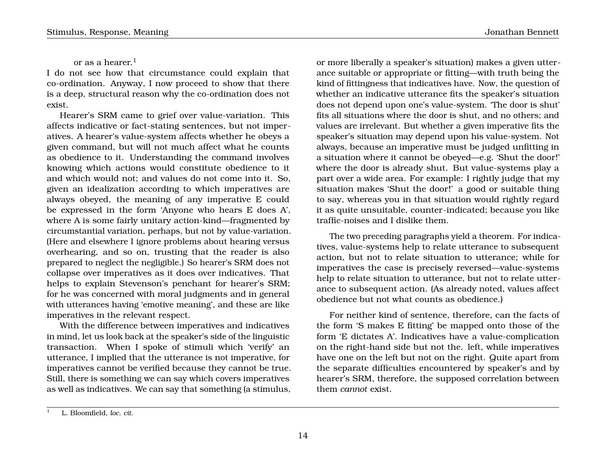## or as a hearer. $<sup>1</sup>$ </sup>

I do not see how that circumstance could explain that co-ordination. Anyway, I now proceed to show that there is a deep, structural reason why the co-ordination does not exist.

Hearer's SRM came to grief over value-variation. This affects indicative or fact-stating sentences, but not imperatives. A hearer's value-system affects whether he obeys a given command, but will not much affect what he counts as obedience to it. Understanding the command involves knowing which actions would constitute obedience to it and which would not; and values do not come into it. So, given an idealization according to which imperatives are always obeyed, the meaning of any imperative E could be expressed in the form 'Anyone who hears E does A', where A is some fairly unitary action-kind—fragmented by circumstantial variation, perhaps, but not by value-variation. (Here and elsewhere I ignore problems about hearing versus overhearing, and so on, trusting that the reader is also prepared to neglect the negligible.) So hearer's SRM does not collapse over imperatives as it does over indicatives. That helps to explain Stevenson's penchant for hearer's SRM; for he was concerned with moral judgments and in general with utterances having 'emotive meaning', and these are like imperatives in the relevant respect.

With the difference between imperatives and indicatives in mind, let us look back at the speaker's side of the linguistic transaction. When I spoke of stimuli which 'verify' an utterance, I implied that the utterance is not imperative, for imperatives cannot be verified because they cannot be true. Still, there is something we can say which covers imperatives as well as indicatives. We can say that something (a stimulus,

or more liberally a speaker's situation) makes a given utterance suitable or appropriate or fitting—with truth being the kind of fittingness that indicatives have. Now, the question of whether an indicative utterance fits the speaker's situation does not depend upon one's value-system. 'The door is shut' fits all situations where the door is shut, and no others; and values are irrelevant. But whether a given imperative fits the speaker's situation may depend upon his value-system. Not always, because an imperative must be judged unfitting in a situation where it cannot be obeyed—e.g. 'Shut the door!' where the door is already shut. But value-systems play a part over a wide area. For example: I rightly judge that my situation makes 'Shut the door!' a good or suitable thing to say, whereas you in that situation would rightly regard it as quite unsuitable, counter-indicated; because you like traffic-noises and I dislike them.

The two preceding paragraphs yield a theorem. For indicatives, value-systems help to relate utterance to subsequent action, but not to relate situation to utterance; while for imperatives the case is precisely reversed—value-systems help to relate situation to utterance, but not to relate utterance to subsequent action. (As already noted, values affect obedience but not what counts as obedience.)

For neither kind of sentence, therefore, can the facts of the form 'S makes E fitting' be mapped onto those of the form 'E dictates A'. Indicatives have a value-complication on the right-hand side but not the. left, while imperatives have one on the left but not on the right. Quite apart from the separate difficulties encountered by speaker's and by hearer's SRM, therefore, the supposed correlation between them *cannot* exist.

<sup>1</sup> L. Bloomfield, *loc. cit*.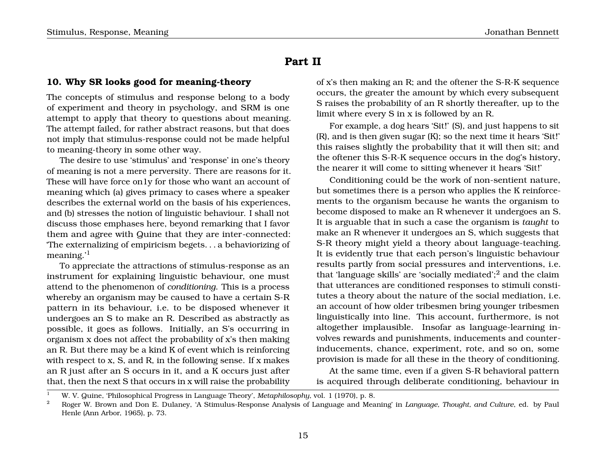## **Part II**

## **10. Why SR looks good for meaning-theory**

The concepts of stimulus and response belong to a body of experiment and theory in psychology, and SRM is one attempt to apply that theory to questions about meaning. The attempt failed, for rather abstract reasons, but that does not imply that stimulus-response could not be made helpful to meaning-theory in some other way.

The desire to use 'stimulus' and 'response' in one's theory of meaning is not a mere perversity. There are reasons for it. These will have force on1y for those who want an account of meaning which (a) gives primacy to cases where a speaker describes the external world on the basis of his experiences, and (b) stresses the notion of linguistic behaviour. I shall not discuss those emphases here, beyond remarking that I favor them and agree with Quine that they are inter-connected: 'The externalizing of empiricism begets. . . a behaviorizing of meaning.'<sup>1</sup>

To appreciate the attractions of stimulus-response as an instrument for explaining linguistic behaviour, one must attend to the phenomenon of *conditioning*. This is a process whereby an organism may be caused to have a certain S-R pattern in its behaviour, i.e. to be disposed whenever it undergoes an S to make an R. Described as abstractly as possible, it goes as follows. Initially, an S's occurring in organism x does not affect the probability of x's then making an R. But there may be a kind K of event which is reinforcing with respect to x, S, and R, in the following sense. If x makes an R just after an S occurs in it, and a K occurs just after that, then the next S that occurs in x will raise the probability

of x's then making an R; and the oftener the S-R-K sequence occurs, the greater the amount by which every subsequent S raises the probability of an R shortly thereafter, up to the limit where every S in x is followed by an R.

For example, a dog hears 'Sit!' (S), and just happens to sit (R), and is then given sugar (K); so the next time it hears 'Sit!' this raises slightly the probability that it will then sit; and the oftener this S-R-K sequence occurs in the dog's history, the nearer it will come to sitting whenever it hears 'Sit!'

Conditioning could be the work of non-sentient nature, but sometimes there is a person who applies the K reinforcements to the organism because he wants the organism to become disposed to make an R whenever it undergoes an S. It is arguable that in such a case the organism is *taught* to make an R whenever it undergoes an S, which suggests that S-R theory might yield a theory about language-teaching. It is evidently true that each person's linguistic behaviour results partly from social pressures and interventions, i.e. that 'language skills' are 'socially mediated'; $^2$  and the claim that utterances are conditioned responses to stimuli constitutes a theory about the nature of the social mediation, i.e. an account of how older tribesmen bring younger tribesmen linguistically into line. This account, furthermore, is not altogether implausible. Insofar as language-learning involves rewards and punishments, inducements and counterinducements, chance, experiment, rote, and so on, some provision is made for all these in the theory of conditioning.

At the same time, even if a given S-R behavioral pattern is acquired through deliberate conditioning, behaviour in

<sup>1</sup> W. V. Quine, 'Philosophical Progress in Language Theory', *Metaphilosophy*, vol. 1 (1970), p. 8.

<sup>2</sup> Roger W. Brown and Don E. Dulaney, 'A Stimulus-Response Analysis of Language and Meaning' in *Language, Thought, and Culture*, ed. by Paul Henle (Ann Arbor, 1965), p. 73.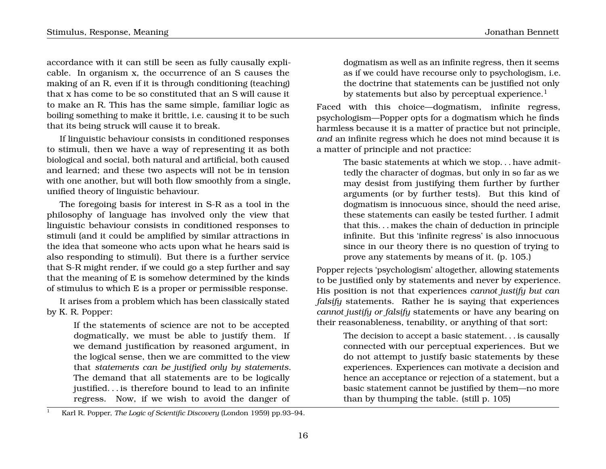accordance with it can still be seen as fully causally explicable. In organism x, the occurrence of an S causes the making of an R, even if it is through conditioning (teaching) that x has come to be so constituted that an S will cause it to make an R. This has the same simple, familiar logic as boiling something to make it brittle, i.e. causing it to be such that its being struck will cause it to break.

If linguistic behaviour consists in conditioned responses to stimuli, then we have a way of representing it as both biological and social, both natural and artificial, both caused and learned; and these two aspects will not be in tension with one another, but will both flow smoothly from a single, unified theory of linguistic behaviour.

The foregoing basis for interest in S-R as a tool in the philosophy of language has involved only the view that linguistic behaviour consists in conditioned responses to stimuli (and it could be amplified by similar attractions in the idea that someone who acts upon what he hears said is also responding to stimuli). But there is a further service that S-R might render, if we could go a step further and say that the meaning of E is somehow determined by the kinds of stimulus to which E is a proper or permissible response.

It arises from a problem which has been classically stated by K. R. Popper:

> If the statements of science are not to be accepted dogmatically, we must be able to justify them. If we demand justification by reasoned argument, in the logical sense, then we are committed to the view that *statements can be justified only by statements*. The demand that all statements are to be logically justified. . . is therefore bound to lead to an infinite regress. Now, if we wish to avoid the danger of

dogmatism as well as an infinite regress, then it seems as if we could have recourse only to psychologism, i.e. the doctrine that statements can be justified not only by statements but also by perceptual experience.<sup>1</sup>

Faced with this choice—dogmatism, infinite regress, psychologism—Popper opts for a dogmatism which he finds harmless because it is a matter of practice but not principle, *and* an infinite regress which he does not mind because it is a matter of principle and not practice:

> The basic statements at which we stop. . . have admittedly the character of dogmas, but only in so far as we may desist from justifying them further by further arguments (or by further tests). But this kind of dogmatism is innocuous since, should the need arise, these statements can easily be tested further. I admit that this. . . makes the chain of deduction in principle infinite. But this 'infinite regress' is also innocuous since in our theory there is no question of trying to prove any statements by means of it. (p. 105.)

Popper rejects 'psychologism' altogether, allowing statements to be justified only by statements and never by experience. His position is not that experiences *cannot justify but can falsify* statements. Rather he is saying that experiences *cannot justify or falsify* statements or have any bearing on their reasonableness, tenability, or anything of that sort:

> The decision to accept a basic statement. . . is causally connected with our perceptual experiences. But we do not attempt to justify basic statements by these experiences. Experiences can motivate a decision and hence an acceptance or rejection of a statement, but a basic statement cannot be justified by them—no more than by thumping the table. (still p. 105)

<sup>1</sup> Karl R. Popper, *The Logic of Scientific Discovery* (London 1959) pp.93–94.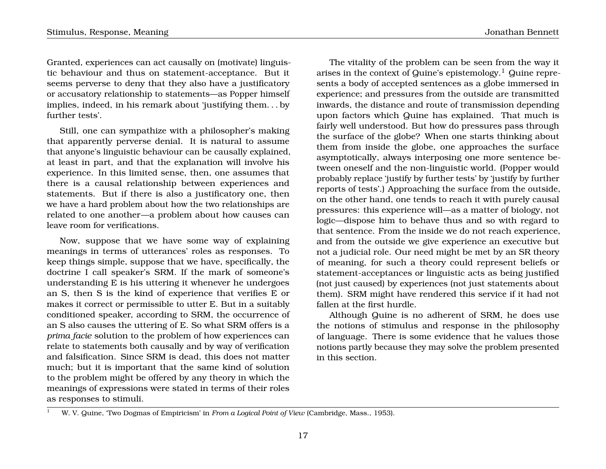Granted, experiences can act causally on (motivate) linguistic behaviour and thus on statement-acceptance. But it seems perverse to deny that they also have a justificatory or accusatory relationship to statements—as Popper himself implies, indeed, in his remark about 'justifying them. . . by further tests'.

Still, one can sympathize with a philosopher's making that apparently perverse denial. It is natural to assume that anyone's linguistic behaviour can be causally explained, at least in part, and that the explanation will involve his experience. In this limited sense, then, one assumes that there is a causal relationship between experiences and statements. But if there is also a justificatory one, then we have a hard problem about how the two relationships are related to one another—a problem about how causes can leave room for verifications.

Now, suppose that we have some way of explaining meanings in terms of utterances' roles as responses. To keep things simple, suppose that we have, specifically, the doctrine I call speaker's SRM. If the mark of someone's understanding E is his uttering it whenever he undergoes an S, then S is the kind of experience that verifies E or makes it correct or permissible to utter E. But in a suitably conditioned speaker, according to SRM, the occurrence of an S also causes the uttering of E. So what SRM offers is a *prima facie* solution to the problem of how experiences can relate to statements both causally and by way of verification and falsification. Since SRM is dead, this does not matter much; but it is important that the same kind of solution to the problem might be offered by any theory in which the meanings of expressions were stated in terms of their roles as responses to stimuli.

The vitality of the problem can be seen from the way it arises in the context of Quine's epistemology.<sup>1</sup> Quine represents a body of accepted sentences as a globe immersed in experience; and pressures from the outside are transmitted inwards, the distance and route of transmission depending upon factors which Quine has explained. That much is fairly well understood. But how do pressures pass through the surface of the globe? When one starts thinking about them from inside the globe, one approaches the surface asymptotically, always interposing one more sentence between oneself and the non-linguistic world. (Popper would probably replace 'justify by further tests' by 'justify by further reports of tests'.) Approaching the surface from the outside, on the other hand, one tends to reach it with purely causal pressures: this experience will—as a matter of biology, not logic—dispose him to behave thus and so with regard to that sentence. From the inside we do not reach experience, and from the outside we give experience an executive but not a judicial role. Our need might be met by an SR theory of meaning, for such a theory could represent beliefs or statement-acceptances or linguistic acts as being justified (not just caused) by experiences (not just statements about them). SRM might have rendered this service if it had not fallen at the first hurdle.

Although Quine is no adherent of SRM, he does use the notions of stimulus and response in the philosophy of language. There is some evidence that he values those notions partly because they may solve the problem presented in this section.

<sup>1</sup> W. V. Quine, 'Two Dogmas of Empiricism' in *From a Logical Point of View* (Cambridge, Mass., 1953).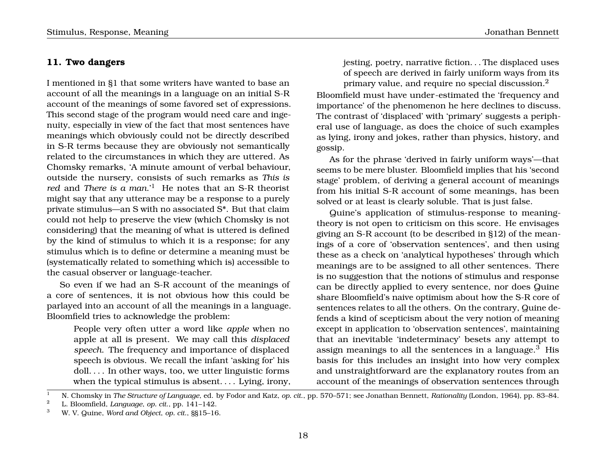## **11. Two dangers**

I mentioned in §1 that some writers have wanted to base an account of all the meanings in a language on an initial S-R account of the meanings of some favored set of expressions. This second stage of the program would need care and ingenuity, especially in view of the fact that most sentences have meanings which obviously could not be directly described in S-R terms because they are obviously not semantically related to the circumstances in which they are uttered. As Chomsky remarks, 'A minute amount of verbal behaviour, outside the nursery, consists of such remarks as *This is red* and *There is a man*.'<sup>1</sup> He notes that an S-R theorist might say that any utterance may be a response to a purely private stimulus—an S with no associated S\*. But that claim could not help to preserve the view (which Chomsky is not considering) that the meaning of what is uttered is defined by the kind of stimulus to which it is a response; for any stimulus which is to define or determine a meaning must be (systematically related to something which is) accessible to the casual observer or language-teacher.

So even if we had an S-R account of the meanings of a core of sentences, it is not obvious how this could be parlayed into an account of all the meanings in a language. Bloomfield tries to acknowledge the problem:

> People very often utter a word like *apple* when no apple at all is present. We may call this *displaced speech*. The frequency and importance of displaced speech is obvious. We recall the infant 'asking for' his doll. . . . In other ways, too, we utter linguistic forms when the typical stimulus is absent.... Lying, irony,

jesting, poetry, narrative fiction. . . The displaced uses of speech are derived in fairly uniform ways from its primary value, and require no special discussion.<sup>2</sup>

Bloomfield must have under-estimated the 'frequency and importance' of the phenomenon he here declines to discuss. The contrast of 'displaced' with 'primary' suggests a peripheral use of language, as does the choice of such examples as lying, irony and jokes, rather than physics, history, and gossip.

As for the phrase 'derived in fairly uniform ways'—that seems to be mere bluster. Bloomfield implies that his 'second stage' problem, of deriving a general account of meanings from his initial S-R account of some meanings, has been solved or at least is clearly soluble. That is just false.

Quine's application of stimulus-response to meaningtheory is not open to criticism on this score. He envisages giving an S-R account (to be described in §12) of the meanings of a core of 'observation sentences', and then using these as a check on 'analytical hypotheses' through which meanings are to be assigned to all other sentences. There is no suggestion that the notions of stimulus and response can be directly applied to every sentence, nor does Quine share Bloomfield's naive optimism about how the S-R core of sentences relates to all the others. On the contrary, Quine defends a kind of scepticism about the very notion of meaning except in application to 'observation sentences', maintaining that an inevitable 'indeterminacy' besets any attempt to assign meanings to all the sentences in a language.<sup>3</sup> His basis for this includes an insight into how very complex and unstraightforward are the explanatory routes from an account of the meanings of observation sentences through

<sup>1</sup> N. Chomsky in *The Structure of Language*, ed. by Fodor and Katz, *op. cit*., pp. 570–571; see Jonathan Bennett, *Rationality* (London, 1964), pp. 83–84.

<sup>2</sup> L. Bloomfield, *Language*, *op. cit*., pp. 141–142.

<sup>3</sup> W. V. Quine, *Word and Object*, *op. cit*., §§15–16.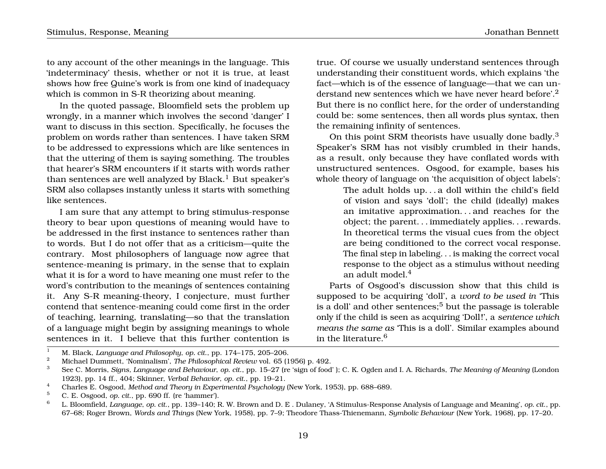to any account of the other meanings in the language. This 'indeterminacy' thesis, whether or not it is true, at least shows how free Quine's work is from one kind of inadequacy which is common in S-R theorizing about meaning.

In the quoted passage, Bloomfield sets the problem up wrongly, in a manner which involves the second 'danger' I want to discuss in this section. Specifically, he focuses the problem on words rather than sentences. I have taken SRM to be addressed to expressions which are like sentences in that the uttering of them is saying something. The troubles that hearer's SRM encounters if it starts with words rather than sentences are well analyzed by Black.<sup>1</sup> But speaker's SRM also collapses instantly unless it starts with something like sentences.

I am sure that any attempt to bring stimulus-response theory to bear upon questions of meaning would have to be addressed in the first instance to sentences rather than to words. But I do not offer that as a criticism—quite the contrary. Most philosophers of language now agree that sentence-meaning is primary, in the sense that to explain what it is for a word to have meaning one must refer to the word's contribution to the meanings of sentences containing it. Any S-R meaning-theory, I conjecture, must further contend that sentence-meaning could come first in the order of teaching, learning, translating—so that the translation of a language might begin by assigning meanings to whole sentences in it. I believe that this further contention is

true. Of course we usually understand sentences through understanding their constituent words, which explains 'the fact—which is of the essence of language—that we can understand new sentences which we have never heard before.<sup>2</sup> But there is no conflict here, for the order of understanding could be: some sentences, then all words plus syntax, then the remaining infinity of sentences.

On this point SRM theorists have usually done badly.<sup>3</sup> Speaker's SRM has not visibly crumbled in their hands, as a result, only because they have conflated words with unstructured sentences. Osgood, for example, bases his whole theory of language on 'the acquisition of object labels':

> The adult holds up. . . a doll within the child's field of vision and says 'doll'; the child (ideally) makes an imitative approximation. . . and reaches for the object; the parent. . . immediately applies. . . rewards. In theoretical terms the visual cues from the object are being conditioned to the correct vocal response. The final step in labeling. . . is making the correct vocal response to the object as a stimulus without needing an adult model.<sup>4</sup>

Parts of Osgood's discussion show that this child is supposed to be acquiring 'doll', a *word to be used in* 'This is a doll' and other sentences; $5$  but the passage is tolerable only if the child is seen as acquiring 'Doll !', a *sentence which means the same as* 'This is a doll'. Similar examples abound in the literature.<sup>6</sup>

<sup>1</sup> M. Black, *Language and Philosophy*, *op. cit*., pp. 174–175, 205–206.

<sup>&</sup>lt;sup>2</sup> Michael Dummett, 'Nominalism', *The Philosophical Review* vol. 65 (1956) p. 492.

<sup>3</sup> See C. Morris, *Signs, Language and Behaviour*, *op. cit*., pp. 15–27 (re 'sign of food' ); C. K. Ogden and I. A. Richards, *The Meaning of Meaning* (London 1923), pp. 14 ff., 404; Skinner, *Verbal Behavior*, *op. cit*., pp. 19–21.

<sup>4</sup> Charles E. Osgood, *Method and Theory in Experimental Psychology* (New York, 1953), pp. 688–689.

 $5$  C. E. Osgood, *op. cit.*, pp. 690 ff. (re 'hammer').

<sup>6</sup> L. Bloomfield, *Language*, *op. cit*., pp. 139–140; R. W. Brown and D. E . Dulaney, 'A Stimulus-Response Analysis of Language and Meaning', *op. cit*., pp. 67–68; Roger Brown, *Words and Things* (New York, 1958), pp. 7–9; Theodore Thass-Thienemann, *Symbolic Behaviour* (New York, 1968), pp. 17–20.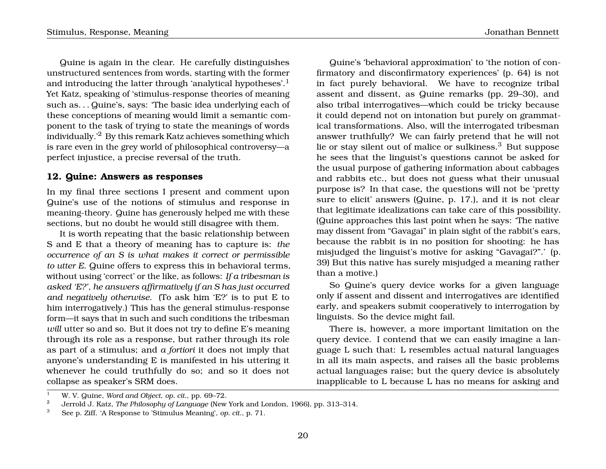Quine is again in the clear. He carefully distinguishes unstructured sentences from words, starting with the former and introducing the latter through 'analytical hypotheses'.<sup>1</sup> Yet Katz, speaking of 'stimulus-response theories of meaning such as. . . Quine's, says: 'The basic idea underlying each of these conceptions of meaning would limit a semantic component to the task of trying to state the meanings of words individually.'<sup>2</sup> By this remark Katz achieves something which is rare even in the grey world of philosophical controversy—a perfect injustice, a precise reversal of the truth.

#### **12. Quine: Answers as responses**

In my final three sections I present and comment upon Quine's use of the notions of stimulus and response in meaning-theory. Quine has generously helped me with these sections, but no doubt he would still disagree with them.

It is worth repeating that the basic relationship between S and E that a theory of meaning has to capture is: *the occurrence of an S is what makes it correct or permissible to utter E*. Quine offers to express this in behavioral terms, without using 'correct' or the like, as follows: *If a tribesman is asked 'E?', he answers affirmatively if an S has just occurred and negatively otherwise*. (To ask him 'E?' is to put E to him interrogatively.) This has the general stimulus-response form—it says that in such and such conditions the tribesman *will* utter so and so. But it does not try to define E's meaning through its role as a response, but rather through its role as part of a stimulus; and *a fortiori* it does not imply that anyone's understanding E is manifested in his uttering it whenever he could truthfully do so; and so it does not collapse as speaker's SRM does.

Quine's 'behavioral approximation' to 'the notion of confirmatory and disconfirmatory experiences' (p. 64) is not in fact purely behavioral. We have to recognize tribal assent and dissent, as Quine remarks (pp. 29–30), and also tribal interrogatives—which could be tricky because it could depend not on intonation but purely on grammatical transformations. Also, will the interrogated tribesman answer truthfully? We can fairly pretend that he will not lie or stay silent out of malice or sulkiness.<sup>3</sup> But suppose he sees that the linguist's questions cannot be asked for the usual purpose of gathering information about cabbages and rabbits etc., but does not guess what their unusual purpose is? In that case, the questions will not be 'pretty sure to elicit' answers (Quine, p. 17.), and it is not clear that legitimate idealizations can take care of this possibility. (Quine approaches this last point when he says: 'The native may dissent from "Gavagai" in plain sight of the rabbit's ears, because the rabbit is in no position for shooting: he has misjudged the linguist's motive for asking "Gavagai?".' (p. 39) But this native has surely misjudged a meaning rather than a motive.)

So Quine's query device works for a given language only if assent and dissent and interrogatives are identified early, and speakers submit cooperatively to interrogation by linguists. So the device might fail.

There is, however, a more important limitation on the query device. I contend that we can easily imagine a language L such that: L resembles actual natural languages in all its main aspects, and raises all the basic problems actual languages raise; but the query device is absolutely inapplicable to L because L has no means for asking and

<sup>1</sup> W. V. Quine, *Word and Object*, *op. cit*., pp. 69–72.

<sup>&</sup>lt;sup>2</sup> Jerrold J. Katz, *The Philosophy of Language* (New York and London, 1966), pp. 313–314.

<sup>3</sup> See p. Ziff. 'A Response to 'Stimulus Meaning', *op. cit*., p. 71.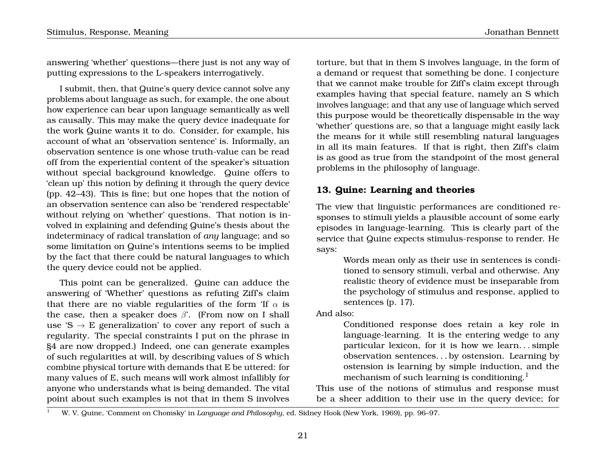answering 'whether' questions—there just is not any way of putting expressions to the L-speakers interrogatively.

I submit, then, that Quine's query device cannot solve any problems about language as such, for example, the one about how experience can bear upon language semantically as well as causally. This may make the query device inadequate for the work Quine wants it to do. Consider, for example, his account of what an 'observation sentence' is. Informally, an observation sentence is one whose truth-value can be read off from the experiential content of the speaker's situation without special background knowledge. Quine offers to 'clean up' this notion by defining it through the query device (pp. 42–43). This is fine; but one hopes that the notion of an observation sentence can also be 'rendered respectable' without relying on 'whether' questions. That notion is involved in explaining and defending Quine's thesis about the indeterminacy of radical translation of *any* language; and so some limitation on Quine's intentions seems to be implied by the fact that there could be natural languages to which the query device could not be applied.

This point can be generalized. Quine can adduce the answering of 'Whether' questions as refuting Ziff's claim that there are no viable regularities of the form 'If  $\alpha$  is the case, then a speaker does  $\beta$ '. (From now on I shall use 'S  $\rightarrow$  E generalization' to cover any report of such a regularity. The special constraints I put on the phrase in §4 are now dropped.) Indeed, one can generate examples of such regularities at will, by describing values of S which combine physical torture with demands that E be uttered: for many values of E, such means will work almost infallibly for anyone who understands what is being demanded. The vital point about such examples is not that in them S involves

torture, but that in them S involves language, in the form of a demand or request that something be done. I conjecture that we cannot make trouble for Ziff's claim except through examples having that special feature, namely an S which involves language; and that any use of language which served this purpose would be theoretically dispensable in the way 'whether' questions are, so that a language might easily lack the means for it while still resembling natural languages in all its main features. If that is right, then Ziff's claim is as good as true from the standpoint of the most general problems in the philosophy of language.

## **13. Quine: Learning and theories**

The view that linguistic performances are conditioned responses to stimuli yields a plausible account of some early episodes in language-learning. This is clearly part of the service that Quine expects stimulus-response to render. He says:

> Words mean only as their use in sentences is conditioned to sensory stimuli, verbal and otherwise. Any realistic theory of evidence must be inseparable from the psychology of stimulus and response, applied to sentences (p. 17).

And also:

Conditioned response does retain a key role in language-learning. It is the entering wedge to any particular lexicon, for it is how we learn. . . simple observation sentences. . . by ostension. Learning by ostension is learning by simple induction, and the mechanism of such learning is conditioning.<sup>1</sup>

This use of the notions of stimulus and response must be a sheer addition to their use in the query device; for

<sup>1</sup> W. V. Quine, 'Comment on Chomsky' in *Language and Philosophy*, ed. Sidney Hook (New York, 1969), pp. 96–97.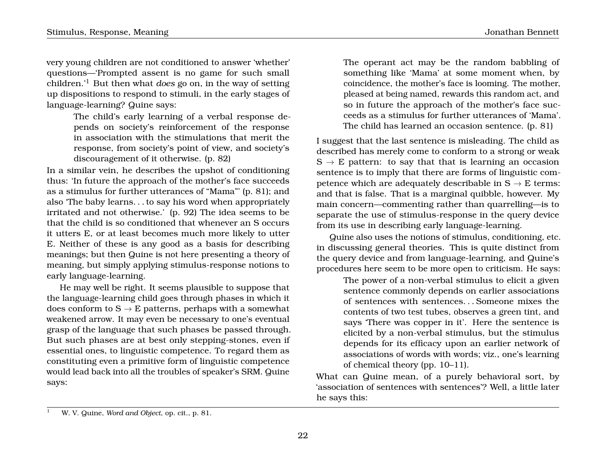very young children are not conditioned to answer 'whether' questions—'Prompted assent is no game for such small children.'<sup>1</sup> But then what *does* go on, in the way of setting up dispositions to respond to stimuli, in the early stages of language-learning? Quine says:

> The child's early learning of a verbal response depends on society's reinforcement of the response in association with the stimulations that merit the response, from society's point of view, and society's discouragement of it otherwise. (p. 82)

In a similar vein, he describes the upshot of conditioning thus: 'In future the approach of the mother's face succeeds as a stimulus for further utterances of "Mama"' (p. 81); and also 'The baby learns. . . to say his word when appropriately irritated and not otherwise.' (p. 92) The idea seems to be that the child is so conditioned that whenever an S occurs it utters E, or at least becomes much more likely to utter E. Neither of these is any good as a basis for describing meanings; but then Quine is not here presenting a theory of meaning, but simply applying stimulus-response notions to early language-learning.

He may well be right. It seems plausible to suppose that the language-learning child goes through phases in which it does conform to  $S \rightarrow E$  patterns, perhaps with a somewhat weakened arrow. It may even be necessary to one's eventual grasp of the language that such phases be passed through. But such phases are at best only stepping-stones, even if essential ones, to linguistic competence. To regard them as constituting even a primitive form of linguistic competence would lead back into all the troubles of speaker's SRM. Quine says:

The operant act may be the random babbling of something like 'Mama' at some moment when, by coincidence, the mother's face is looming. The mother, pleased at being named, rewards this random act, and so in future the approach of the mother's face succeeds as a stimulus for further utterances of 'Mama'. The child has learned an occasion sentence. (p. 81)

I suggest that the last sentence is misleading. The child as described has merely come to conform to a strong or weak  $S \rightarrow E$  pattern: to say that that is learning an occasion sentence is to imply that there are forms of linguistic competence which are adequately describable in  $S \rightarrow E$  terms: and that is false. That is a marginal quibble, however. My main concern—commenting rather than quarrelling—is to separate the use of stimulus-response in the query device from its use in describing early language-learning.

Quine also uses the notions of stimulus, conditioning, etc. in discussing general theories. This is quite distinct from the query device and from language-learning, and Quine's procedures here seem to be more open to criticism. He says:

The power of a non-verbal stimulus to elicit a given sentence commonly depends on earlier associations of sentences with sentences. . . Someone mixes the contents of two test tubes, observes a green tint, and says 'There was copper in it'. Here the sentence is elicited by a non-verbal stimulus, but the stimulus depends for its efficacy upon an earlier network of associations of words with words; viz., one's learning of chemical theory (pp. 10–11).

What can Quine mean, of a purely behavioral sort, by 'association of sentences with sentences'? Well, a little later he says this:

<sup>1</sup> W. V. Quine, *Word and Object*, op. cit., p. 81.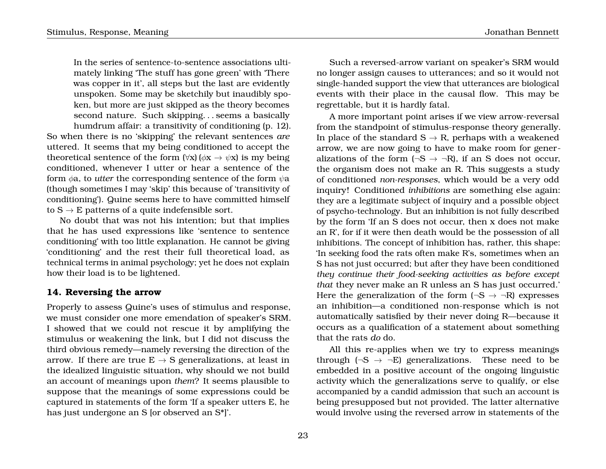In the series of sentence-to-sentence associations ultimately linking 'The stuff has gone green' with 'There was copper in it', all steps but the last are evidently unspoken. Some may be sketchily but inaudibly spoken, but more are just skipped as the theory becomes second nature. Such skipping. . . seems a basically humdrum affair: a transitivity of conditioning (p. 12). So when there is no 'skipping' the relevant sentences *are* uttered. It seems that my being conditioned to accept the theoretical sentence of the form  $(\forall x)(\phi x \rightarrow \psi x)$  is my being conditioned, whenever I utter or hear a sentence of the form  $\phi$ a, to *utter* the corresponding sentence of the form  $\psi$ a (though sometimes I may 'skip' this because of 'transitivity of conditioning'). Quine seems here to have committed himself to  $S \rightarrow E$  patterns of a quite indefensible sort.

No doubt that was not his intention; but that implies that he has used expressions like 'sentence to sentence conditioning' with too little explanation. He cannot be giving 'conditioning' and the rest their full theoretical load, as technical terms in animal psychology; yet he does not explain how their load is to be lightened.

## **14. Reversing the arrow**

Properly to assess Quine's uses of stimulus and response, we must consider one more emendation of speaker's SRM. I showed that we could not rescue it by amplifying the stimulus or weakening the link, but I did not discuss the third obvious remedy—namely reversing the direction of the arrow. If there are true  $E \rightarrow S$  generalizations, at least in the idealized linguistic situation, why should we not build an account of meanings upon *them*? It seems plausible to suppose that the meanings of some expressions could be captured in statements of the form 'If a speaker utters E, he has just undergone an S [or observed an S\*]'.

Such a reversed-arrow variant on speaker's SRM would no longer assign causes to utterances; and so it would not single-handed support the view that utterances are biological events with their place in the causal flow. This may be regrettable, but it is hardly fatal.

A more important point arises if we view arrow-reversal from the standpoint of stimulus-response theory generally. In place of the standard  $S \rightarrow R$ , perhaps with a weakened arrow, we are now going to have to make room for generalizations of the form  $(\neg S \rightarrow \neg R)$ , if an S does not occur, the organism does not make an R. This suggests a study of conditioned *non-responses*, which would be a very odd inquiry! Conditioned *inhibitions* are something else again: they are a legitimate subject of inquiry and a possible object of psycho-technology. But an inhibition is not fully described by the form 'If an S does not occur, then x does not make an R', for if it were then death would be the possession of all inhibitions. The concept of inhibition has, rather, this shape: 'In seeking food the rats often make R's, sometimes when an S has not just occurred; but after they have been conditioned *they continue their food-seeking activities as before except that* they never make an R unless an S has just occurred.' Here the generalization of the form  $(\neg S \rightarrow \neg R)$  expresses an inhibition—a conditioned non-response which is not automatically satisfied by their never doing R—because it occurs as a qualification of a statement about something that the rats *do* do.

All this re-applies when we try to express meanings through  $(\neg S \rightarrow \neg E)$  generalizations. These need to be embedded in a positive account of the ongoing linguistic activity which the generalizations serve to qualify, or else accompanied by a candid admission that such an account is being presupposed but not provided. The latter alternative would involve using the reversed arrow in statements of the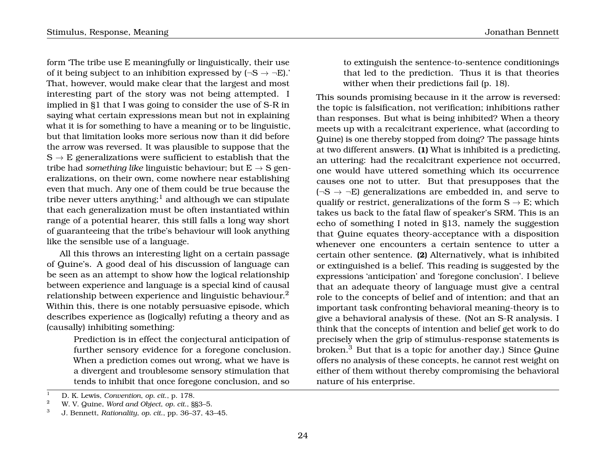form 'The tribe use E meaningfully or linguistically, their use of it being subject to an inhibition expressed by  $(\neg S \rightarrow \neg E)$ . That, however, would make clear that the largest and most interesting part of the story was not being attempted. I implied in §1 that I was going to consider the use of S-R in saying what certain expressions mean but not in explaining what it is for something to have a meaning or to be linguistic, but that limitation looks more serious now than it did before the arrow was reversed. It was plausible to suppose that the  $S \rightarrow E$  generalizations were sufficient to establish that the tribe had *something like* linguistic behaviour; but  $E \rightarrow S$  generalizations, on their own, come nowhere near establishing even that much. Any one of them could be true because the tribe never utters anything;<sup>1</sup> and although we can stipulate that each generalization must be often instantiated within range of a potential hearer, this still falls a long way short of guaranteeing that the tribe's behaviour will look anything like the sensible use of a language.

All this throws an interesting light on a certain passage of Quine's. A good deal of his discussion of language can be seen as an attempt to show how the logical relationship between experience and language is a special kind of causal relationship between experience and linguistic behaviour.<sup>2</sup> Within this, there is one notably persuasive episode, which describes experience as (logically) refuting a theory and as (causally) inhibiting something:

> Prediction is in effect the conjectural anticipation of further sensory evidence for a foregone conclusion. When a prediction comes out wrong, what we have is a divergent and troublesome sensory stimulation that tends to inhibit that once foregone conclusion, and so

to extinguish the sentence-to-sentence conditionings that led to the prediction. Thus it is that theories wither when their predictions fail (p. 18).

This sounds promising because in it the arrow is reversed: the topic is falsification, not verification; inhibitions rather than responses. But what is being inhibited? When a theory meets up with a recalcitrant experience, what (according to Quine) is one thereby stopped from doing? The passage hints at two different answers. **(1)** What is inhibited is a predicting, an uttering: had the recalcitrant experience not occurred, one would have uttered something which its occurrence causes one not to utter. But that presupposes that the  $(\neg S \rightarrow \neg E)$  generalizations are embedded in, and serve to qualify or restrict, generalizations of the form  $S \rightarrow E$ ; which takes us back to the fatal flaw of speaker's SRM. This is an echo of something I noted in §13, namely the suggestion that Quine equates theory-acceptance with a disposition whenever one encounters a certain sentence to utter a certain other sentence. **(2)** Alternatively, what is inhibited or extinguished is a belief. This reading is suggested by the expressions 'anticipation' and 'foregone conclusion'. I believe that an adequate theory of language must give a central role to the concepts of belief and of intention; and that an important task confronting behavioral meaning-theory is to give a behavioral analysis of these. (Not an S-R analysis. I think that the concepts of intention and belief get work to do precisely when the grip of stimulus-response statements is broken.<sup>3</sup> But that is a topic for another day.) Since Quine offers no analysis of these concepts, he cannot rest weight on either of them without thereby compromising the behavioral nature of his enterprise.

<sup>1</sup> D. K. Lewis, *Convention*, *op. cit*., p. 178. <sup>2</sup> W. V. Quine, *Word and Object*, *op. cit*., §§3–5.

<sup>3</sup> J. Bennett, *Rationality*, *op. cit*., pp. 36–37, 43–45.